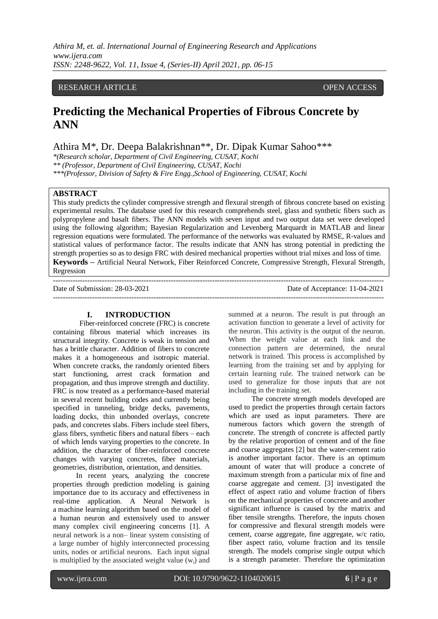*Athira M, et. al. International Journal of Engineering Research and Applications www.ijera.com ISSN: 2248-9622, Vol. 11, Issue 4, (Series-II) April 2021, pp. 06-15*

## RESEARCH ARTICLE OPEN ACCESS

# **Predicting the Mechanical Properties of Fibrous Concrete by ANN**

Athira M\*, Dr. Deepa Balakrishnan\*\*, Dr. Dipak Kumar Sahoo\*\*\*

*\*(Research scholar, Department of Civil Engineering, CUSAT, Kochi \*\* (Professor, Department of Civil Engineering, CUSAT, Kochi \*\*\*(Professor, Division of Safety & Fire Engg.,School of Engineering, CUSAT, Kochi* 

## **ABSTRACT**

This study predicts the cylinder compressive strength and flexural strength of fibrous concrete based on existing experimental results. The database used for this research comprehends steel, glass and synthetic fibers such as polypropylene and basalt fibers. The ANN models with seven input and two output data set were developed using the following algorithm; Bayesian Regularization and Levenberg Marquardt in MATLAB and linear regression equations were formulated. The performance of the networks was evaluated by RMSE, R-values and statistical values of performance factor. The results indicate that ANN has strong potential in predicting the strength properties so as to design FRC with desired mechanical properties without trial mixes and loss of time. **Keywords –** Artificial Neural Network, Fiber Reinforced Concrete, Compressive Strength, Flexural Strength, Regression

---------------------------------------------------------------------------------------------------------------------------------------

Date of Submission: 28-03-2021 Date of Acceptance: 11-04-2021 ---------------------------------------------------------------------------------------------------------------------------------------

# **I. INTRODUCTION**

Fiber-reinforced concrete (FRC) is concrete containing fibrous material which increases its structural integrity. Concrete is weak in tension and has a brittle character. Addition of fibers to concrete makes it a homogeneous and isotropic material. When concrete cracks, the randomly oriented fibers start functioning, arrest crack formation and propagation, and thus improve strength and ductility. FRC is now treated as a performance-based material in several recent building codes and currently being specified in tunneling, bridge decks, pavements, loading docks, thin unbonded overlays, concrete pads, and concretes slabs. Fibers include steel fibers, glass fibers, synthetic fibers and natural fibers – each of which lends varying properties to the concrete. In addition, the character of fiber-reinforced concrete changes with varying concretes, fiber materials, geometries, distribution, orientation, and densities.

In recent years, analyzing the concrete properties through prediction modeling is gaining importance due to its accuracy and effectiveness in real-time application. A Neural Network is a machine learning algorithm based on the model of a human neuron and extensively used to answer many complex civil engineering concerns [1]. A neural network is a non– linear system consisting of a large number of highly interconnected processing units, nodes or artificial neurons. Each input signal is multiplied by the associated weight value  $(w_i)$  and summed at a neuron. The result is put through an activation function to generate a level of activity for the neuron. This activity is the output of the neuron. When the weight value at each link and the connection pattern are determined, the neural network is trained. This process is accomplished by learning from the training set and by applying for certain learning rule. The trained network can be used to generalize for those inputs that are not including in the training set.

The concrete strength models developed are used to predict the properties through certain factors which are used as input parameters. There are numerous factors which govern the strength of concrete. The strength of concrete is affected partly by the relative proportion of cement and of the fine and coarse aggregates [2] but the water-cement ratio is another important factor. There is an optimum amount of water that will produce a concrete of maximum strength from a particular mix of fine and coarse aggregate and cement. [3] investigated the effect of aspect ratio and volume fraction of fibers on the mechanical properties of concrete and another significant influence is caused by the matrix and fiber tensile strengths. Therefore, the inputs chosen for compressive and flexural strength models were cement, coarse aggregate, fine aggregate, w/c ratio, fiber aspect ratio, volume fraction and its tensile strength. The models comprise single output which is a strength parameter. Therefore the optimization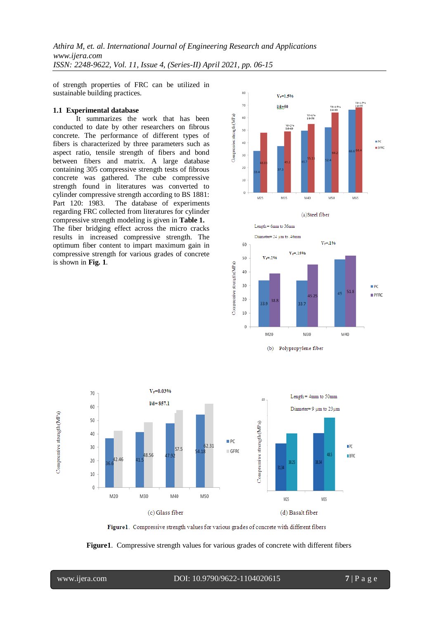*Athira M, et. al. International Journal of Engineering Research and Applications www.ijera.com ISSN: 2248-9622, Vol. 11, Issue 4, (Series-II) April 2021, pp. 06-15*

of strength properties of FRC can be utilized in sustainable building practices.

#### **1.1 Experimental database**

It summarizes the work that has been conducted to date by other researchers on fibrous concrete. The performance of different types of fibers is characterized by three parameters such as aspect ratio, tensile strength of fibers and bond between fibers and matrix. A large database containing 305 compressive strength tests of fibrous concrete was gathered. The cube compressive strength found in literatures was converted to cylinder compressive strength according to BS 1881: Part 120: 1983. The database of experiments regarding FRC collected from literatures for cylinder compressive strength modeling is given in **Table 1.** The fiber bridging effect across the micro cracks results in increased compressive strength. The optimum fiber content to impart maximum gain in compressive strength for various grades of concrete is shown in **Fig. 1**.







Figure1. Compressive strength values for various grades of concrete with different fibers

**Figure1**. Compressive strength values for various grades of concrete with different fibers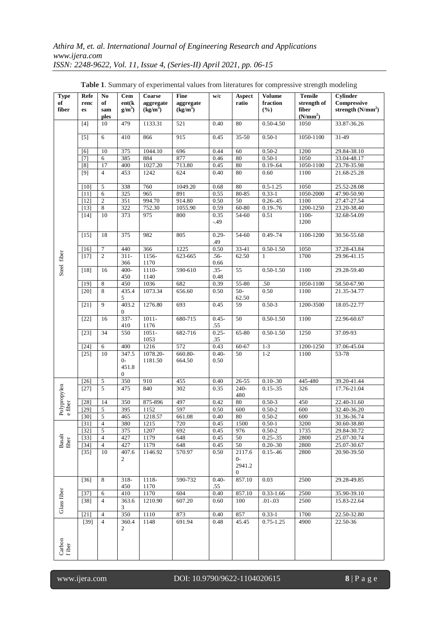| <b>Type</b><br>of<br>fiber | Refe<br>renc<br>es | No<br>of<br>sam<br>ples          | <b>Cem</b><br>ent(k)<br>$g/m^3$            | Coarse<br>aggregate<br>$(kg/m^3)$ | Fine<br>aggregate<br>$(kg/m^3)$ | w/c              | Aspect<br>ratio                    | <b>Volume</b><br>fraction<br>$(\%)$ | <b>Tensile</b><br>strength of<br>fiber<br>(N/mm <sup>2</sup> ) | Cylinder<br>Compressive<br>strength $(N/mm2)$ |
|----------------------------|--------------------|----------------------------------|--------------------------------------------|-----------------------------------|---------------------------------|------------------|------------------------------------|-------------------------------------|----------------------------------------------------------------|-----------------------------------------------|
|                            | $[4]$              | 10                               | 479                                        | 1133.31                           | 521                             | 0.40             | 80                                 | 0.50-4.50                           | 1050                                                           | 33.87-36.26                                   |
|                            | $[5]$              | 6                                | 410                                        | 866                               | 915                             | 0.45             | $35-50$                            | $0.50 - 1$                          | 1050-1100                                                      | 31-49                                         |
|                            | [6]                | 10                               | 375                                        | 1044.10                           | 696                             | 0.44             | 60                                 | $0.50 - 2$                          | 1200                                                           | 29.84-38.10                                   |
|                            | $[7]$              | 6                                | 385                                        | 884                               | 877                             | 0.46             | 80                                 | $0.50 - 1$                          | 1050                                                           | 33.04-48.17                                   |
|                            | $\overline{[8]}$   | 17                               | 400                                        | 1027.20                           | 713.80                          | 0.45             | $80\,$                             | $0.19 - 64$                         | 1050-1100                                                      | 23.78-35.98                                   |
|                            | [9]                | $\overline{4}$                   | 453                                        | 1242                              | 624                             | 0.40             | 80                                 | 0.60                                | 1100                                                           | 21.68-25.28                                   |
|                            | $[10]$             | 5                                | 338                                        | 760                               | 1049.20                         | 0.68             | 80                                 | $0.5 - 1.25$                        | 1050                                                           | 25.52-28.08                                   |
|                            | $[11]$             | 6                                | 325                                        | 965                               | 891                             | 0.55             | 80-85                              | $0.33 - 1$                          | 1050-2000                                                      | 47.90-50.90                                   |
|                            | $[12]$             | $\overline{2}$                   | 351                                        | 994.70                            | 914.80                          | 0.50             | 50                                 | $0.26 - 45$                         | 1100                                                           | 27.47-27.54                                   |
|                            | $\overline{[13]}$  | 8                                | 322                                        | 752.30                            | 1055.90                         | 0.59             | 60-80                              | $0.19 - .76$                        | 1200-1250                                                      | 23.20-38.40                                   |
|                            | $[14]$             | 10                               | 373                                        | 975                               | 800                             | 0.35<br>$-.49$   | 54-60                              | 0.51                                | 1100-<br>1200                                                  | 32.68-54.09                                   |
|                            | $[15]$             | 18                               | 375                                        | 982                               | 805                             | $0.29 -$<br>.49  | 54-60                              | $0.49 - 74$                         | 1100-1200                                                      | 30.56-55.68                                   |
|                            | $[16]$             | $\overline{7}$                   | 440                                        | 366                               | 1225                            | 0.50             | 33-41                              | $0.50 - 1.50$                       | 1050                                                           | 37.28-43.84                                   |
| Steel fiber                | $[17]$             | $\overline{2}$                   | $311 -$<br>366                             | 1156-<br>1170                     | 623-665                         | $.56 -$<br>0.66  | 62.50                              | $\mathbf{1}$                        | 1700                                                           | 29.96-41.15                                   |
|                            | $[18]$             | 16                               | 400-<br>450                                | 1110-<br>1140                     | 590-610                         | $.35-$<br>0.48   | 55                                 | $0.50 - 1.50$                       | 1100                                                           | 29.28-59.40                                   |
|                            | $[19]$             | 8                                | 450                                        | 1036                              | 682                             | 0.39             | 55-80                              | .50                                 | 1050-1100                                                      | 58.50-67.90                                   |
|                            | $[20]$             | 8                                | 435.4<br>5                                 | 1073.34                           | 656.60                          | 0.50             | $50-$<br>62.50                     | 0.50                                | 1100                                                           | 21.35-34.77                                   |
|                            | $[21]$             | 9                                | 403.2<br>$\mathbf{0}$                      | 1276.80                           | 693                             | 0.45             | $\overline{59}$                    | $0.50 - 3$                          | 1200-3500                                                      | 18.05-22.77                                   |
|                            | $[22]$             | 16                               | $337 -$<br>410                             | $1011 -$<br>1176                  | 680-715                         | $0.45 -$<br>.55  | 50                                 | $0.50 - 1.50$                       | 1100                                                           | 22.96-60.67                                   |
|                            | $\overline{[23]}$  | 34                               | 550                                        | $1051 -$<br>1053                  | 682-716                         | $0.25 -$<br>.35  | 65-80                              | $0.50 - 1.50$                       | 1250                                                           | 37.09-93                                      |
|                            | $[24]$             | 6                                | 400                                        | 1216                              | 572                             | 0.43             | 60-67                              | $1 - 3$                             | 1200-1250                                                      | 37.06-45.04                                   |
|                            | $\overline{[25]}$  | 10                               | 347.5<br>$0-$<br>451.8<br>$\boldsymbol{0}$ | 1078.20-<br>1181.50               | 660.80-<br>664.50               | $0.40 -$<br>0.50 | 50                                 | $1-2$                               | 1100                                                           | 53-78                                         |
|                            | $[26]$             | 5                                | 350                                        | 910                               | 455                             | 0.40             | 26-55                              | $0.10 - 30$                         | 445-480                                                        | 39.20-41.44                                   |
| Polypropylen               | $[27]$             | 5                                | 475                                        | 840                               | 302                             | 0.35             | 240-<br>480                        | $0.15 - 35$                         | 326                                                            | 17.76-21.04                                   |
|                            | $[28]$             | 14                               | 350                                        | 875-896                           | 497                             | 0.42             | $80\,$                             | $0.50 - 3$                          | 450                                                            | 22.40-31.60                                   |
| e fiber                    | $\overline{[29]}$  | $\sqrt{5}$                       | 395                                        | 1152                              | 597                             | 0.50             | 600                                | $0.50 - 2$                          | 600                                                            | 32.40-36.20                                   |
|                            | $[30]$             | 5                                | 465                                        | 1218.57                           | 661.08                          | 0.40             | 80                                 | $0.50 - 2$                          | 600                                                            | 31.36-36.74                                   |
|                            | $[31]$             | $\overline{4}$                   | 380                                        | 1215                              | 720                             | 0.45             | 1500                               | $0.50 - 1$                          | 3200                                                           | 30.60-38.80                                   |
|                            | $[32]$             | 5                                | 375                                        | 1207                              | 692                             | 0.45             | 976                                | $0.50 - 2$                          | 1735                                                           | 29.84-30.72                                   |
| Basalt<br>fiber            | $[33]$             | $\overline{4}$<br>$\overline{4}$ | 427<br>427                                 | 1179<br>1179                      | 648<br>648                      | 0.45<br>0.45     | $50\,$<br>50                       | $0.25 - 0.35$<br>$0.20 - 0.30$      | 2800                                                           | 25.07-30.74<br>25.07-30.67                    |
|                            | $[34]$<br>$[35]$   | 10                               | 407.6                                      | 1146.92                           | 570.97                          | 0.50             | 2117.6                             | $0.15 - 46$                         | 2800<br>2800                                                   | 20.90-39.50                                   |
|                            |                    |                                  | $\mathbf{2}$                               |                                   |                                 |                  | $0-$<br>2941.2<br>$\boldsymbol{0}$ |                                     |                                                                |                                               |
|                            | $[36]$             | 8                                | $318-$<br>450                              | 1118-<br>1170                     | 590-732                         | $0.40 -$<br>.55  | 857.10                             | 0.03                                | 2500                                                           | 29.28-49.85                                   |
|                            | $[37]$             | 6                                | 410                                        | 1170                              | 604                             | 0.40             | 857.10                             | $0.33 - 1.66$                       | 2500                                                           | 35.90-39.10                                   |
| Glass fiber                | $[38]$             | $\overline{4}$                   | 363.6<br>3                                 | 1210.90                           | 607.20                          | 0.60             | 100                                | $.01 - .03$                         | 2500                                                           | 15.83-22.64                                   |
|                            | $[21]$             | $\overline{4}$                   | 350                                        | 1110                              | 873                             | 0.40             | 857                                | $0.33 - 1$                          | 1700                                                           | 22.50-32.80                                   |
| Carbon<br>fiber            | $\overline{[39]}$  | $\overline{4}$                   | 360.4<br>2                                 | 1148                              | 691.94                          | 0.48             | 45.45                              | $0.75 - 1.25$                       | 4900                                                           | 22.50-36                                      |
|                            |                    |                                  |                                            |                                   |                                 |                  |                                    |                                     |                                                                |                                               |

**Table 1**. Summary of experimental values from literatures for compressive strength modeling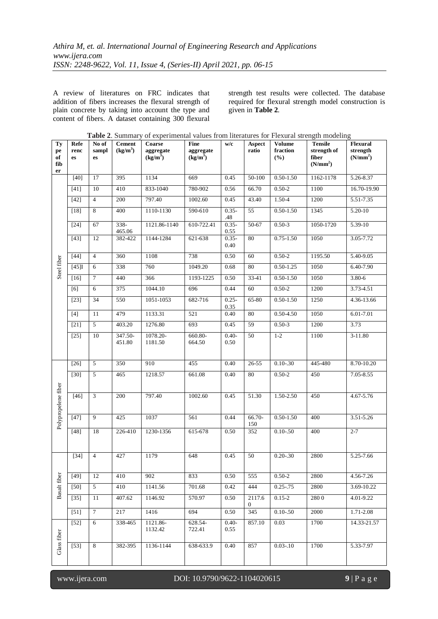A review of literatures on FRC indicates that addition of fibers increases the flexural strength of plain concrete by taking into account the type and content of fibers. A dataset containing 300 flexural

strength test results were collected. The database required for flexural strength model construction is given in **Table 2**.

| Ty<br>pe<br>of<br>fib<br>er | Refe<br>renc<br>es | No of<br>sampl<br>es | <b>Cement</b><br>(kg/m <sup>3</sup> ) | <b>Table 2.</b> Summary of experimental values from incratures for Flexural strength modering<br>Coarse<br>aggregate<br>(kg/m <sup>3</sup> ) | <b>Fine</b><br>aggregate<br>$(kg/m^3)$ | w/c              | Aspect<br>ratio | <b>Volume</b><br>fraction<br>$(\%)$ | <b>Tensile</b><br>strength of<br>fiber<br>(N/mm <sup>2</sup> ) | Flexural<br>strength<br>(N/mm <sup>2</sup> ) |
|-----------------------------|--------------------|----------------------|---------------------------------------|----------------------------------------------------------------------------------------------------------------------------------------------|----------------------------------------|------------------|-----------------|-------------------------------------|----------------------------------------------------------------|----------------------------------------------|
|                             | $[40]$             | 17                   | 395                                   | 1134                                                                                                                                         | 669                                    | 0.45             | 50-100          | $0.50 - 1.50$                       | 1162-1178                                                      | 5.26-8.37                                    |
|                             | $[41]$             | 10                   | 410                                   | 833-1040                                                                                                                                     | 780-902                                | 0.56             | 66.70           | $0.50 - 2$                          | 1100                                                           | 16.70-19.90                                  |
|                             | $[42]$             | $\overline{4}$       | 200                                   | 797.40                                                                                                                                       | 1002.60                                | 0.45             | 43.40           | 1.50-4                              | 1200                                                           | 5.51-7.35                                    |
|                             | $[18]$             | 8                    | 400                                   | 1110-1130                                                                                                                                    | 590-610                                | $0.35 -$<br>.48  | $\overline{55}$ | $0.50 - 1.50$                       | 1345                                                           | 5.20-10                                      |
|                             | $[24]$             | 67                   | $338-$<br>465.06                      | 1121.86-1140                                                                                                                                 | 610-722.41                             | $0.35 -$<br>0.55 | 50-67           | $0.50 - 3$                          | 1050-1720                                                      | $5.39 - 10$                                  |
|                             | $[43]$             | 12                   | 382-422                               | 1144-1284                                                                                                                                    | 621-638                                | $0.35 -$<br>0.40 | 80              | $0.75 - 1.50$                       | 1050                                                           | 3.05-7.72                                    |
|                             | $[44]$             | $\overline{4}$       | $\overline{360}$                      | 1108                                                                                                                                         | 738                                    | 0.50             | 60              | $0.50 - 2$                          | 1195.50                                                        | 5.40-9.05                                    |
| Steel fiber                 | [45]               | 6                    | 338                                   | 760                                                                                                                                          | 1049.20                                | 0.68             | $80\,$          | $0.50 - 1.25$                       | 1050                                                           | 6.40-7.90                                    |
|                             | $[16]$             | $\tau$               | 440                                   | 366                                                                                                                                          | 1193-1225                              | 0.50             | 33-41           | $0.50 - 1.50$                       | 1050                                                           | 3.80-6                                       |
|                             | [6]                | 6                    | 375                                   | 1044.10                                                                                                                                      | 696                                    | 0.44             | 60              | $0.50 - 2$                          | 1200                                                           | 3.73-4.51                                    |
|                             | $[23]$             | 34                   | 550                                   | 1051-1053                                                                                                                                    | 682-716                                | $0.25 -$<br>0.35 | $65 - 80$       | $0.50 - 1.50$                       | 1250                                                           | 4.36-13.66                                   |
|                             | $[4]$              | 11                   | 479                                   | 1133.31                                                                                                                                      | 521                                    | 0.40             | 80              | $0.50 - 4.50$                       | 1050                                                           | 6.01-7.01                                    |
|                             | $[21]$             | $\overline{5}$       | 403.20                                | 1276.80                                                                                                                                      | 693                                    | 0.45             | 59              | $0.50 - 3$                          | 1200                                                           | 3.73                                         |
|                             | $[25]$             | 10                   | 347.50-<br>451.80                     | 1078.20-<br>1181.50                                                                                                                          | 660.80-<br>664.50                      | $0.40 -$<br>0.50 | 50              | $1 - 2$                             | 1100                                                           | $3-11.80$                                    |
|                             | $\overline{[26]}$  | $\mathfrak{S}$       | 350                                   | 910                                                                                                                                          | 455                                    | 0.40             | $26 - 55$       | $0.10 - 30$                         | 445-480                                                        | 8.70-10.20                                   |
|                             | $[30]$             | $\mathfrak{S}$       | 465                                   | 1218.57                                                                                                                                      | 661.08                                 | 0.40             | 80              | $0.50 - 2$                          | 450                                                            | 7.05-8.55                                    |
| Polypropelene fiber         | $[46]$             | $\overline{3}$       | 200                                   | 797.40                                                                                                                                       | 1002.60                                | 0.45             | 51.30           | 1.50-2.50                           | 450                                                            | 4.67-5.76                                    |
|                             | $[47]$             | $\mathbf{Q}$         | 425                                   | 1037                                                                                                                                         | 561                                    | 0.44             | 66.70-<br>150   | $0.50 - 1.50$                       | 400                                                            | 3.51-5.26                                    |
|                             | $[48]$             | $18\,$               | 226-410                               | 1230-1356                                                                                                                                    | 615-678                                | 0.50             | 352             | $0.10 - 50$                         | 400                                                            | $2 - 7$                                      |
|                             | $[34]$             | $\overline{4}$       | 427                                   | 1179                                                                                                                                         | 648                                    | 0.45             | 50              | $0.20 - 0.30$                       | 2800                                                           | 5.25-7.66                                    |
|                             | $[49]$             | 12                   | 410                                   | 902                                                                                                                                          | 833                                    | 0.50             | 555             | $0.50 - 2$                          | 2800                                                           | 4.56-7.26                                    |
| <b>Basalt</b> fiber         | $[50]$             | 5                    | 410                                   | 1141.56                                                                                                                                      | 701.68                                 | 0.42             | 444             | $0.25 - .75$                        | 2800                                                           | 3.69-10.22                                   |
|                             | $[35]$             | 11                   | 407.62                                | 1146.92                                                                                                                                      | 570.97                                 | 0.50             | 2117.6<br>0     | $0.15 - 2$                          | 2800                                                           | 4.01-9.22                                    |
|                             | $[51]$             | $\tau$               | 217                                   | 1416                                                                                                                                         | 694                                    | 0.50             | 345             | $0.10 - 50$                         | 2000                                                           | 1.71-2.08                                    |
|                             | $[52]$             | 6                    | 338-465                               | 1121.86-<br>1132.42                                                                                                                          | 628.54-<br>722.41                      | $0.40 -$<br>0.55 | 857.10          | 0.03                                | 1700                                                           | 14.33-21.57                                  |
| Glass fiber                 | $[53]$             | $\,8\,$              | 382-395                               | 1136-1144                                                                                                                                    | 638-633.9                              | 0.40             | 857             | $0.03 - 10$                         | 1700                                                           | 5.33-7.97                                    |

| Table 2. Summary of experimental values from literatures for Flexural strength modeling |  |  |  |  |  |  |
|-----------------------------------------------------------------------------------------|--|--|--|--|--|--|
|-----------------------------------------------------------------------------------------|--|--|--|--|--|--|

# www.ijera.com DOI: 10.9790/9622-1104020615 **9** | P a g e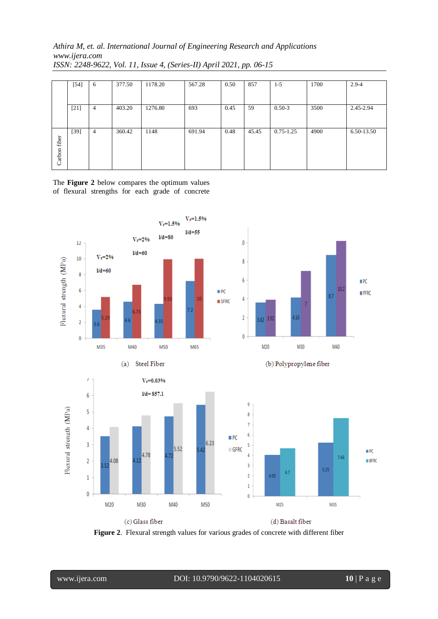# *Athira M, et. al. International Journal of Engineering Research and Applications www.ijera.com ISSN: 2248-9622, Vol. 11, Issue 4, (Series-II) April 2021, pp. 06-15*

|        | $[54]$ | 6 | 377.50 | 1178.20 | 567.28 | 0.50 | 857   | $1-5$         | 1700 | $2.9 - 4$  |
|--------|--------|---|--------|---------|--------|------|-------|---------------|------|------------|
|        |        |   |        |         |        |      |       |               |      |            |
|        |        |   |        |         |        |      |       |               |      |            |
|        |        |   |        |         |        |      |       |               |      |            |
|        | $[21]$ | 4 | 403.20 | 1276.80 | 693    | 0.45 | 59    | $0.50 - 3$    | 3500 | 2.45-2.94  |
|        |        |   |        |         |        |      |       |               |      |            |
|        |        |   |        |         |        |      |       |               |      |            |
|        |        |   |        |         |        |      |       |               |      |            |
|        | $[39]$ | 4 | 360.42 | 1148    | 691.94 | 0.48 | 45.45 | $0.75 - 1.25$ | 4900 | 6.50-13.50 |
|        |        |   |        |         |        |      |       |               |      |            |
| fiber  |        |   |        |         |        |      |       |               |      |            |
|        |        |   |        |         |        |      |       |               |      |            |
|        |        |   |        |         |        |      |       |               |      |            |
| Carbon |        |   |        |         |        |      |       |               |      |            |
|        |        |   |        |         |        |      |       |               |      |            |

The **Figure 2** below compares the optimum values of flexural strengths for each grade of concrete



**Figure 2**. Flexural strength values for various grades of concrete with different fiber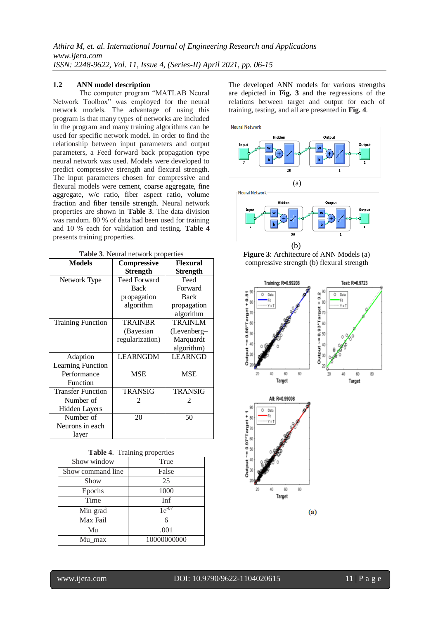## **1.2 ANN model description**

The computer program "MATLAB Neural Network Toolbox" was employed for the neural network models. The advantage of using this program is that many types of networks are included in the program and many training algorithms can be used for specific network model. In order to find the relationship between input parameters and output parameters, a Feed forward back propagation type neural network was used. Models were developed to predict compressive strength and flexural strength. The input parameters chosen for compressive and flexural models were cement, coarse aggregate, fine aggregate, w/c ratio, fiber aspect ratio, volume fraction and fiber tensile strength. Neural network properties are shown in **Table 3**. The data division was random. 80 % of data had been used for training and 10 % each for validation and testing. **Table 4** presents training properties.

**Table 3**. Neural network properties

| <b>Models</b>            | Compressive     | <b>Flexural</b> |
|--------------------------|-----------------|-----------------|
|                          | <b>Strength</b> | <b>Strength</b> |
| Network Type             | Feed Forward    | Feed            |
|                          | <b>Back</b>     | Forward         |
|                          | propagation     | <b>Back</b>     |
|                          | algorithm       | propagation     |
|                          |                 | algorithm       |
| <b>Training Function</b> | <b>TRAINBR</b>  | <b>TRAINLM</b>  |
|                          | (Bayesian       | (Levenberg-     |
|                          | regularization) | Marquardt       |
|                          |                 | algorithm)      |
| Adaption                 | <b>LEARNGDM</b> | <b>LEARNGD</b>  |
| <b>Learning Function</b> |                 |                 |
| Performance              | <b>MSE</b>      | <b>MSE</b>      |
| Function                 |                 |                 |
| <b>Transfer Function</b> | <b>TRANSIG</b>  | <b>TRANSIG</b>  |
| Number of                | 2               | 2               |
| <b>Hidden Layers</b>     |                 |                 |
| Number of                | 20              | 50              |
| Neurons in each          |                 |                 |
| layer                    |                 |                 |

|  |  | <b>Table 4.</b> Training properties |
|--|--|-------------------------------------|
|--|--|-------------------------------------|

| Show window       | True        |
|-------------------|-------------|
| Show command line | False       |
| Show              | 25          |
| Epochs            | 1000        |
| Time              | Inf         |
| Min grad          | $1e^{-07}$  |
| Max Fail          | 6           |
| Mu                | .001        |
| Mu max            | 10000000000 |
|                   |             |

The developed ANN models for various strengths are depicted in **Fig. 3** and the regressions of the relations between target and output for each of training, testing, and all are presented in **Fig. 4**.







www.ijera.com DOI: 10.9790/9622-1104020615 **11** | P a g e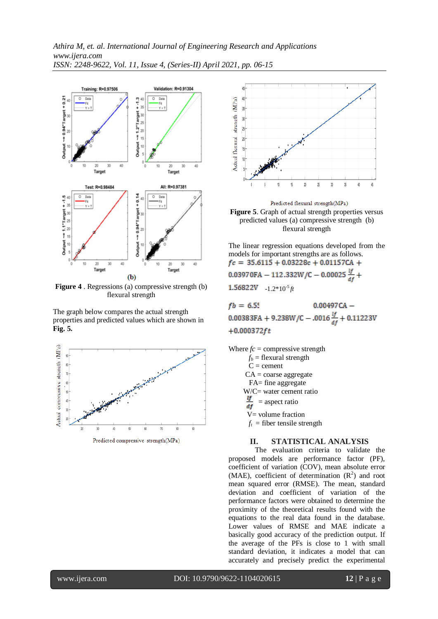

**Figure 4** . Regressions (a) compressive strength (b) flexural strength

The graph below compares the actual strength properties and predicted values which are shown in **Fig. 5.**



Predicted compressive strength(MPa)



Predicted flexural strength(MPa) **Figure 5**. Graph of actual strength properties versus predicted values (a) compressive strength (b) flexural strength

The linear regression equations developed from the models for important strengths are as follows.<br> $fc = 35.6115 + 0.03228c + 0.01157CA +$ 0.03970FA - 112.332W/C - 0.00025  $\frac{if}{4f}$  +  $1.56822V -1.2*10<sup>5</sup>$  *ft* 

 $fb = 6.55$  $0.00497CA -$ 0.00383FA + 9.238W/C - .0016 $\frac{if}{df}$  + 0.11223V  $+0.000372 ft$ 

Where  $fc =$  compressive strength  $f_b$  = flexural strength  $C =$  cement  $CA = \text{coarse aggregate}$  FA= fine aggregate  $W/C=$  water cement ratio  $\frac{q}{df}$  = aspect ratio V= volume fraction  $f_t$  = fiber tensile strength

# **II. STATISTICAL ANALYSIS**

The evaluation criteria to validate the proposed models are performance factor (PF), coefficient of variation (COV), mean absolute error (MAE), coefficient of determination  $(R^2)$  and root mean squared error (RMSE). The mean, standard deviation and coefficient of variation of the performance factors were obtained to determine the proximity of the theoretical results found with the equations to the real data found in the database. Lower values of RMSE and MAE indicate a basically good accuracy of the prediction output. If the average of the PFs is close to 1 with small standard deviation, it indicates a model that can accurately and precisely predict the experimental

www.ijera.com DOI: 10.9790/9622-1104020615 **12** | P a g e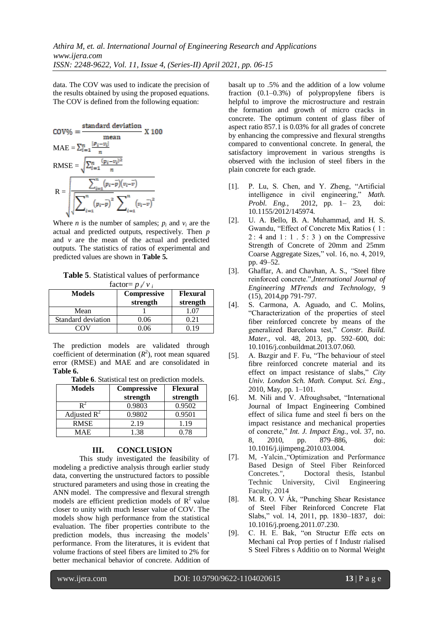data. The COV was used to indicate the precision of the results obtained by using the proposed equations. The COV is defined from the following equation:

$$
COV\% = \frac{\text{standard deviation}}{\text{mean}} \times 100
$$
\n
$$
\text{MAE} = \sum_{i=1}^{n} \frac{|p_i - v_i|}{n}
$$
\n
$$
\text{RMSE} = \sqrt{\sum_{i=1}^{n} \frac{(p_i - v_i)^2}{n}}
$$
\n
$$
\text{R} = \sqrt{\frac{\sum_{i=1}^{n} (p_i - \bar{p})(v_i - \bar{v})}{\sqrt{\sum_{i=1}^{n} (p_i - \bar{p})^2 \sum_{i=1}^{n} (v_i - \bar{v})^2}}}
$$

Where *n* is the number of samples;  $p_i$  and  $v_i$  are the actual and predicted outputs, respectively. Then *p*  and *v* are the mean of the actual and predicted outputs. The statistics of ratios of experimental and predicted values are shown in **Table 5.**

**Table 5**. Statistical values of performance factor=  $p \vee v$ 

| <b>Models</b>      | <b>Compressive</b><br>strength | <b>Flexural</b><br>strength |
|--------------------|--------------------------------|-----------------------------|
| Mean               |                                |                             |
| Standard deviation | 0.06                           | 0.21                        |
|                    | ) በ6                           |                             |

The prediction models are validated through coefficient of determination  $(R^2)$ , root mean squared error (RMSE) and MAE and are consolidated in **Table 6.**

**Table 6**. Statistical test on prediction models.

| <b>Models</b>  | <b>Compressive</b> | <b>Flexural</b> |  |
|----------------|--------------------|-----------------|--|
|                | strength           | strength        |  |
|                | 0.9803             | 0.9502          |  |
| Adjusted $R^2$ | 0.9802             | 0.9501          |  |
| <b>RMSE</b>    | 2.19               | 1.19            |  |
| <b>MAF</b>     | 1.38               | O 78            |  |

#### **III. CONCLUSION**

This study investigated the feasibility of modeling a predictive analysis through earlier study data, converting the unstructured factors to possible structured parameters and using those in creating the ANN model. The compressive and flexural strength models are efficient prediction models of  $R^2$  value closer to unity with much lesser value of COV. The models show high performance from the statistical evaluation. The fiber properties contribute to the prediction models, thus increasing the models' performance. From the literatures, it is evident that volume fractions of steel fibers are limited to 2% for better mechanical behavior of concrete. Addition of

basalt up to .5% and the addition of a low volume fraction (0.1–0.3%) of polypropylene fibers is helpful to improve the microstructure and restrain the formation and growth of micro cracks in concrete. The optimum content of glass fiber of aspect ratio 857.1 is 0.03% for all grades of concrete by enhancing the compressive and flexural strengths compared to conventional concrete. In general, the satisfactory improvement in various strengths is observed with the inclusion of steel fibers in the plain concrete for each grade.

- [1]. P. Lu, S. Chen, and Y. Zheng, "Artificial intelligence in civil engineering," *Math. Probl. Eng.*, 2012, pp. 1– 23, doi: 10.1155/2012/145974.
- [2]. U. A. Bello, B. A. Muhammad, and H. S. Gwandu, "Effect of Concrete Mix Ratios ( 1 : 2 : 4 and 1 : 1 . 5 : 3 ) on the Compressive Strength of Concrete of 20mm and 25mm Coarse Aggregate Sizes," vol. 16, no. 4, 2019, pp. 49–52.
- [3]. Ghaffar, A. and Chavhan*,* A. S., *"*Steel fibre reinforced concrete.",*International Journal of Engineering MTrends and Technology,* 9 (15), 2014,pp 791-797.
- [4]. S. Carmona, A. Aguado, and C. Molins, "Characterization of the properties of steel fiber reinforced concrete by means of the generalized Barcelona test," *Constr. Build. Mater.*, vol. 48, 2013, pp. 592–600, doi: 10.1016/j.conbuildmat.2013.07.060.
- [5]. A. Bazgir and F. Fu, "The behaviour of steel fibre reinforced concrete material and its effect on impact resistance of slabs," *City Univ. London Sch. Math. Comput. Sci. Eng.*, 2010, May, pp. 1–101.
- [6]. M. Nili and V. Afroughsabet, "International Journal of Impact Engineering Combined effect of silica fume and steel fi bers on the impact resistance and mechanical properties of concrete," *Int. J. Impact Eng.*, vol. 37, no. 8, 2010, pp. 879–886, doi: 10.1016/j.ijimpeng.2010.03.004.
- [7]. M, -Yalcin.,"Optimization and Performance Based Design of Steel Fiber Reinforced Concretes*.*", Doctoral thesis, Istanbul Technic University, Civil Engineering Faculty, 2014
- [8]. M. R. O. V Ák, "Punching Shear Resistance of Steel Fiber Reinforced Concrete Flat Slabs," vol. 14, 2011, pp. 1830–1837, doi: 10.1016/j.proeng.2011.07.230.
- [9]. C. H. E. Bak, "on Structur Effe ects on Mechani cal Prop perties of f Industr rialised S Steel Fibres s Additio on to Normal Weight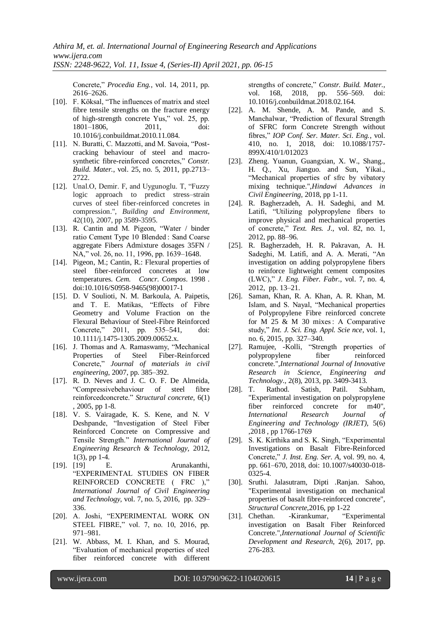Concrete," *Procedia Eng.*, vol. 14, 2011, pp. 2616–2626.

- [10]. F. Köksal, "The influences of matrix and steel fibre tensile strengths on the fracture energy of high-strength concrete Yus," vol. 25, pp. 1801–1806, 2011, doi: 10.1016/j.conbuildmat.2010.11.084.
- [11]. N. Buratti, C. Mazzotti, and M. Savoia, "Postcracking behaviour of steel and macrosynthetic fibre-reinforced concretes," *Constr. Build. Mater.*, vol. 25, no. 5, 2011, pp.2713– 2722.
- [12]. Unal.O, Demir. F, and Uygunoglu. T, "Fuzzy logic approach to predict stress–strain curves of steel fiber-reinforced concretes in compression.", *Building and Environment*, 42(10), 2007, pp 3589-3595.
- [13]. R. Cantin and M. Pigeon, "Water / binder ratio Cement Type 10 Blended : Sand Coarse aggregate Fibers Admixture dosages 35FN / NA," vol. 26, no. 11, 1996, pp. 1639–1648.
- [14]. Pigeon, M.; Cantin, R.: Flexural properties of steel fiber-reinforced concretes at low temperatures. *Cem. Concr. Compos*. 1998 . doi:10.1016/S0958-9465(98)00017-1
- [15]. D. V Soulioti, N. M. Barkoula, A. Paipetis, and T. E. Matikas, "Effects of Fibre Geometry and Volume Fraction on the Flexural Behaviour of Steel-Fibre Reinforced Concrete," 2011, pp. 535–541, doi: 10.1111/j.1475-1305.2009.00652.x.
- [16]. J. Thomas and A. Ramaswamy, "Mechanical Properties of Steel Fiber-Reinforced Concrete," *Journal of materials in civil engineering*, 2007, pp. 385–392.
- [17]. R. D. Neves and J. C. O. F. De Almeida, "Compressivebehaviour of steel fibre reinforcedconcrete." *Structural concrete,* 6(1) , 2005, pp 1-8.
- [18]. V. S. Vairagade, K. S. Kene, and N. V Deshpande, "Investigation of Steel Fiber Reinforced Concrete on Compressive and Tensile Strength." *International Journal of Engineering Research & Technology,* 2012,  $1(3)$ , pp 1-4.
- [19]. [19] E. Arunakanthi, "EXPERIMENTAL STUDIES ON FIBER REINFORCED CONCRETE ( FRC )," *International Journal of Civil Engineering and Technology,* vol. 7, no. 5, 2016, pp. 329– 336.
- [20]. A. Joshi, "EXPERIMENTAL WORK ON STEEL FIBRE," vol. 7, no. 10, 2016, pp. 971–981.
- [21]. W. Abbass, M. I. Khan, and S. Mourad, "Evaluation of mechanical properties of steel fiber reinforced concrete with different

strengths of concrete," *Constr. Build. Mater.*, vol. 168, 2018, pp. 556–569. doi: 10.1016/j.conbuildmat.2018.02.164.

- [22]. A. M. Shende, A. M. Pande, and S. Manchalwar, "Prediction of flexural Strength of SFRC form Concrete Strength without fibres," *IOP Conf. Ser. Mater. Sci. Eng.*, vol. 410, no. 1, 2018, doi: 10.1088/1757- 899X/410/1/012023
- [23]. Zheng. Yuanun, Guangxian, X. W., Shang., H. Q., Xu, Jianguo. and Sun, Yikai., "Mechanical properties of sfrc by vibatory mixing technique.",*Hindawi Advances in Civil Engineering,* 2018, pp 1-11.
- [24]. R. Bagherzadeh, A. H. Sadeghi, and M. Latifi, "Utilizing polypropylene fibers to improve physical and mechanical properties of concrete," *Text. Res. J.*, vol. 82, no. 1, 2012, pp. 88–96.
- [25]. R. Bagherzadeh, H. R. Pakravan, A. H. Sadeghi, M. Latifi, and A. A. Merati, "An investigation on adding polypropylene fibers to reinforce lightweight cement composites (LWC)," *J. Eng. Fiber. Fabr.*, vol. 7, no. 4, 2012, pp. 13–21.
- [26]. Saman, Khan, R. A. Khan, A. R. Khan, M. Islam, and S. Nayal, "Mechanical properties of Polypropylene Fibre reinforced concrete for M 25 & M 30 mixes: A Comparative study," *Int. J. Sci. Eng. Appl. Scie nce*, vol. 1, no. 6, 2015, pp. 327–340.
- [27]. Ramujee, -Kolli, "Strength properties of polypropylene fiber reinforced concrete.",*International Journal of Innovative Research in Science, Engineering and Technology.,* 2(8), 2013, pp. 3409-3413.
- [28]. T. Rathod. Satish, Patil. Subham, "Experimental investigation on polypropylene fiber reinforced concrete for m40", *International Research Journal of Engineering and Technology (IRJET)*, 5(6) ,2018 , pp 1766-1769
- [29]. S. K. Kirthika and S. K. Singh, "Experimental Investigations on Basalt Fibre-Reinforced Concrete," *J. Inst. Eng. Ser. A*, vol. 99, no. 4, pp. 661–670, 2018, doi: 10.1007/s40030-018- 0325-4.
- [30]. Sruthi. Jalasutram, Dipti .Ranjan. Sahoo, "Experimental investigation on mechanical properties of basalt fibre-reinforced concrete", *Structural Concrete*,2016, pp 1-22
- [31]. Chethan. -Kirankumar, "Experimental investigation on Basalt Fiber Reinforced Concrete.",*International Journal of Scientific Development and Research*, 2(6), 2017, pp. 276-283.